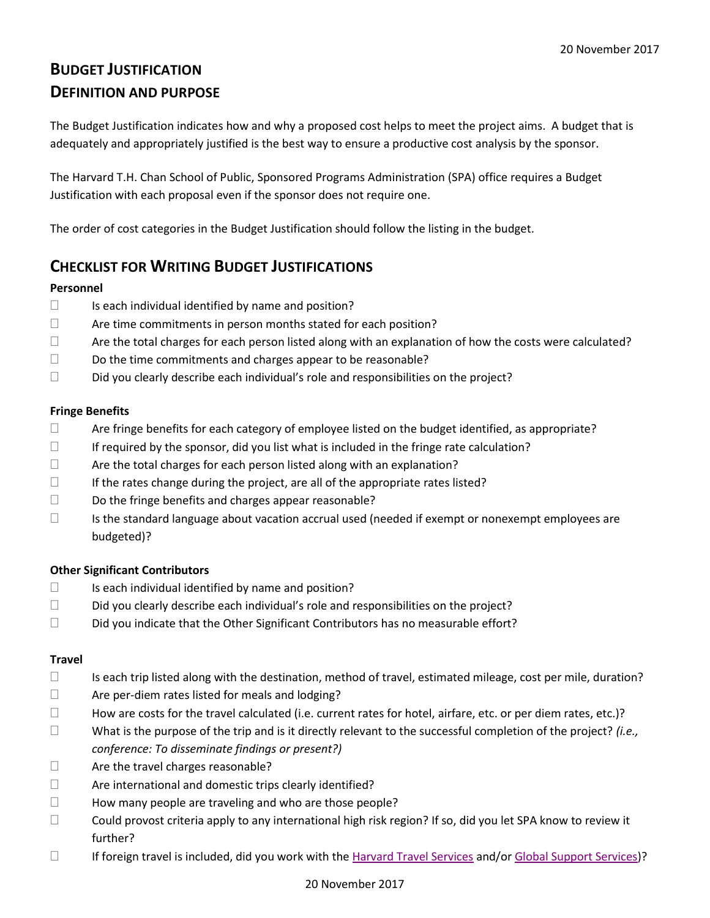# **BUDGET JUSTIFICATION DEFINITION AND PURPOSE**

The Budget Justification indicates how and why a proposed cost helps to meet the project aims. A budget that is adequately and appropriately justified is the best way to ensure a productive cost analysis by the sponsor.

The Harvard T.H. Chan School of Public, Sponsored Programs Administration (SPA) office requires a Budget Justification with each proposal even if the sponsor does not require one.

The order of cost categories in the Budget Justification should follow the listing in the budget.

# **CHECKLIST FOR WRITING BUDGET JUSTIFICATIONS**

### **Personnel**

- $\square$  Is each individual identified by name and position?
- $\Box$  Are time commitments in person months stated for each position?
- $\Box$  Are the total charges for each person listed along with an explanation of how the costs were calculated?
- $\square$  Do the time commitments and charges appear to be reasonable?
- $\square$  Did you clearly describe each individual's role and responsibilities on the project?

### **Fringe Benefits**

- $\Box$  Are fringe benefits for each category of employee listed on the budget identified, as appropriate?
- $\Box$  If required by the sponsor, did you list what is included in the fringe rate calculation?
- $\Box$  Are the total charges for each person listed along with an explanation?
- $\Box$  If the rates change during the project, are all of the appropriate rates listed?
- $\square$  Do the fringe benefits and charges appear reasonable?
- $\square$  Is the standard language about vacation accrual used (needed if exempt or nonexempt employees are budgeted)?

# **Other Significant Contributors**

- $\Box$  Is each individual identified by name and position?
- $\square$  Did you clearly describe each individual's role and responsibilities on the project?
- $\square$  Did you indicate that the Other Significant Contributors has no measurable effort?

#### **Travel**

- $\Box$  Is each trip listed along with the destination, method of travel, estimated mileage, cost per mile, duration?
- $\Box$  Are per-diem rates listed for meals and lodging?
- $\Box$  How are costs for the travel calculated (i.e. current rates for hotel, airfare, etc. or per diem rates, etc.)?
- What is the purpose of the trip and is it directly relevant to the successful completion of the project? *(i.e., conference: To disseminate findings or present?)*
- $\Box$  Are the travel charges reasonable?
- $\Box$  Are international and domestic trips clearly identified?
- $\Box$  How many people are traveling and who are those people?
- □ Could provost criteria apply to any international high risk region? If so, did you let SPA know to review it further?
- $\Box$  If foreign travel is included, did you work with th[e Harvard Travel Services](https://travel.harvard.edu/) and/or [Global Support Services\)](https://www.globalsupport.harvard.edu/)?